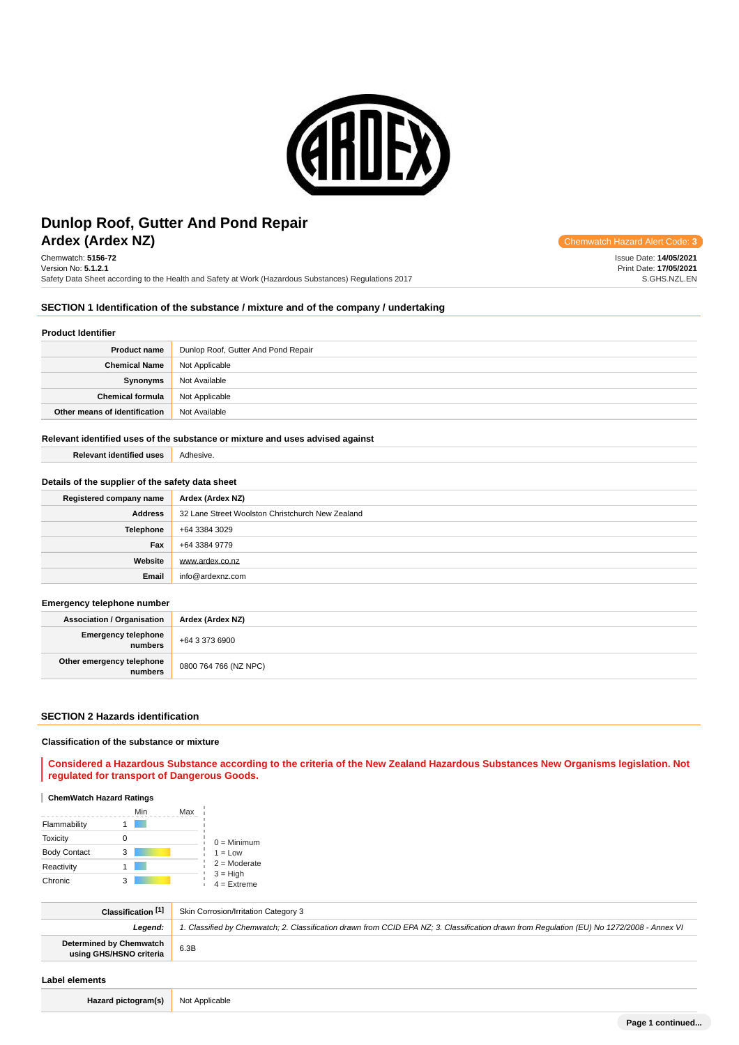

# **Ardex (Ardex NZ) Chemwatch Hazard Alert** Communication Control Communication Communication Communication Control Communication Control Communication Control Communication Communication Communication Communication Commun **Dunlop Roof, Gutter And Pond Repair**

Chemwatch: **5156-72** Version No: **5.1.2.1** Safety Data Sheet according to the Health and Safety at Work (Hazardous Substances) Regulations 2017

Issue Date: **14/05/2021** Print Date: **17/05/2021** S.GHS.NZL.EN

## **SECTION 1 Identification of the substance / mixture and of the company / undertaking**

#### **Product Identifier**

| <b>Product name</b>           | Dunlop Roof, Gutter And Pond Repair |
|-------------------------------|-------------------------------------|
| <b>Chemical Name</b>          | Not Applicable                      |
| Synonyms                      | Not Available                       |
| <b>Chemical formula</b>       | Not Applicable                      |
| Other means of identification | Not Available                       |

### **Relevant identified uses of the substance or mixture and uses advised against**

| <b>Relevant identified uses</b> | Adhesive. |
|---------------------------------|-----------|
|                                 |           |

## **Details of the supplier of the safety data sheet**

| Registered company name | Ardex (Ardex NZ)                                 |
|-------------------------|--------------------------------------------------|
| <b>Address</b>          | 32 Lane Street Woolston Christchurch New Zealand |
| Telephone               | +64 3384 3029                                    |
| Fax                     | +64 3384 9779                                    |
| Website                 | www.ardex.co.nz                                  |
| Email                   | info@ardexnz.com                                 |

### **Emergency telephone number**

| <b>Association / Organisation</b>    | Ardex (Ardex NZ)      |
|--------------------------------------|-----------------------|
| Emergency telephone<br>numbers       | +64 3 373 6900        |
| Other emergency telephone<br>numbers | 0800 764 766 (NZ NPC) |

#### **SECTION 2 Hazards identification**

### **Classification of the substance or mixture**

### **Considered a Hazardous Substance according to the criteria of the New Zealand Hazardous Substances New Organisms legislation. Not regulated for transport of Dangerous Goods.**

## **ChemWatch Hazard Ratings**

|                     | Min | Max |                             |
|---------------------|-----|-----|-----------------------------|
| Flammability        |     |     |                             |
| <b>Toxicity</b>     |     |     | $0 =$ Minimum               |
| <b>Body Contact</b> | 3   |     | $1 = Low$                   |
| Reactivity          |     |     | $2 =$ Moderate              |
| Chronic             |     |     | $3 = High$<br>$4 =$ Extreme |

| Classification [1]                                        | Skin Corrosion/Irritation Category 3                                                                                                       |
|-----------------------------------------------------------|--------------------------------------------------------------------------------------------------------------------------------------------|
| Leaend:                                                   | 1. Classified by Chemwatch; 2. Classification drawn from CCID EPA NZ; 3. Classification drawn from Requlation (EU) No 1272/2008 - Annex VI |
| <b>Determined by Chemwatch</b><br>using GHS/HSNO criteria | 6.3B                                                                                                                                       |

### **Label elements**

**Hazard pictogram(s)** Not Applicable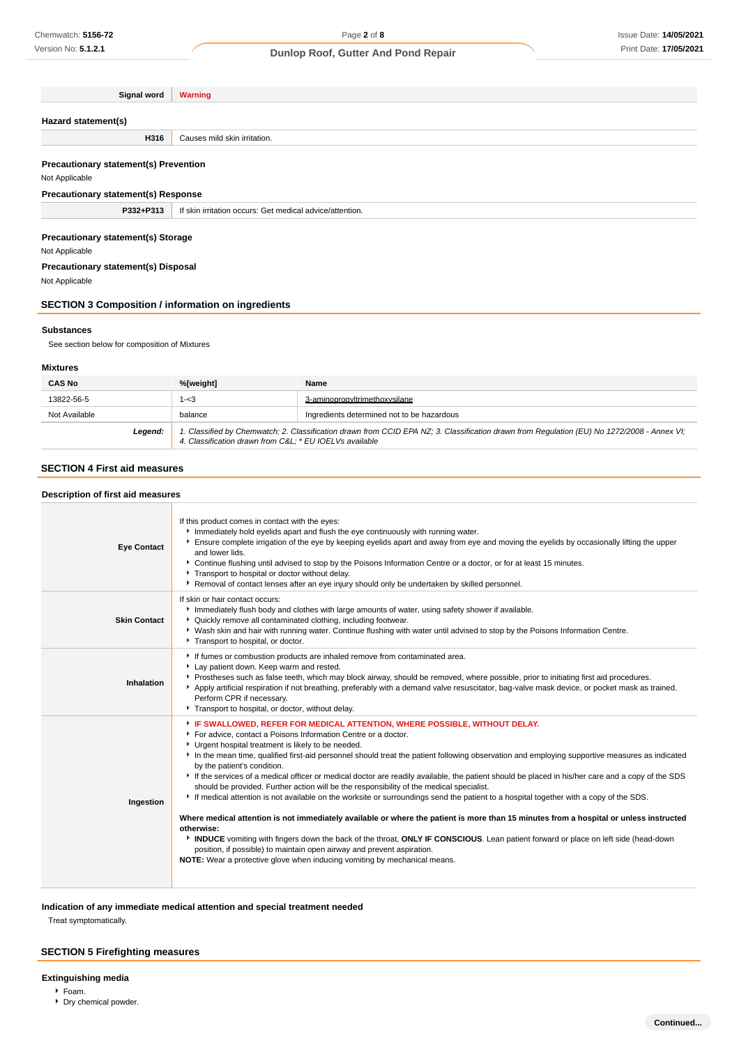## Issue Date: **14/05/2021** Print Date: **17/05/2021**

## **Dunlop Roof, Gutter And Pond Repair**

| Signal word                                                           | <b>Warning</b>               |
|-----------------------------------------------------------------------|------------------------------|
|                                                                       |                              |
| Hazard statement(s)                                                   |                              |
| H316                                                                  | Causes mild skin irritation. |
|                                                                       |                              |
| <b>Precautionary statement(s) Prevention</b>                          |                              |
| Not Applicable                                                        |                              |
| <b>Precautionary statement(s) Response</b>                            |                              |
| P332+P313<br>If skin irritation occurs: Get medical advice/attention. |                              |
|                                                                       |                              |
| <b>Precautionary statement(s) Storage</b>                             |                              |
| Not Applicable                                                        |                              |
| Precautionary statement(s) Disposal                                   |                              |
| Not Applicable                                                        |                              |

## **SECTION 3 Composition / information on ingredients**

#### **Substances**

See section below for composition of Mixtures

### **Mixtures**

| <b>CAS No</b> | %[weight]                                                                                                                                                                                              | Name                                       |
|---------------|--------------------------------------------------------------------------------------------------------------------------------------------------------------------------------------------------------|--------------------------------------------|
| 13822-56-5    | 1-<3                                                                                                                                                                                                   | 3-aminopropyltrimethoxysilane              |
| Not Available | balance                                                                                                                                                                                                | Ingredients determined not to be hazardous |
| Legend:       | 1. Classified by Chemwatch; 2. Classification drawn from CCID EPA NZ; 3. Classification drawn from Regulation (EU) No 1272/2008 - Annex VI;<br>4. Classification drawn from C&L: * EU IOELVs available |                                            |

## **SECTION 4 First aid measures**

### **Description of first aid measures**

| <b>Eye Contact</b>  | If this product comes in contact with the eyes:<br>Inmediately hold eyelids apart and flush the eye continuously with running water.<br>Ensure complete irrigation of the eye by keeping eyelids apart and away from eye and moving the eyelids by occasionally lifting the upper<br>and lower lids.<br>▶ Continue flushing until advised to stop by the Poisons Information Centre or a doctor, or for at least 15 minutes.<br>Transport to hospital or doctor without delay.<br>Removal of contact lenses after an eye injury should only be undertaken by skilled personnel.                                                                                                                                                                                                                                                                                                                                                                                                                                                                                                                                                                                                                                                |
|---------------------|--------------------------------------------------------------------------------------------------------------------------------------------------------------------------------------------------------------------------------------------------------------------------------------------------------------------------------------------------------------------------------------------------------------------------------------------------------------------------------------------------------------------------------------------------------------------------------------------------------------------------------------------------------------------------------------------------------------------------------------------------------------------------------------------------------------------------------------------------------------------------------------------------------------------------------------------------------------------------------------------------------------------------------------------------------------------------------------------------------------------------------------------------------------------------------------------------------------------------------|
| <b>Skin Contact</b> | If skin or hair contact occurs:<br>Immediately flush body and clothes with large amounts of water, using safety shower if available.<br>• Quickly remove all contaminated clothing, including footwear.<br>▶ Wash skin and hair with running water. Continue flushing with water until advised to stop by the Poisons Information Centre.<br>Transport to hospital, or doctor.                                                                                                                                                                                                                                                                                                                                                                                                                                                                                                                                                                                                                                                                                                                                                                                                                                                 |
| Inhalation          | If fumes or combustion products are inhaled remove from contaminated area.<br>Lay patient down. Keep warm and rested.<br>▶ Prostheses such as false teeth, which may block airway, should be removed, where possible, prior to initiating first aid procedures.<br>Apply artificial respiration if not breathing, preferably with a demand valve resuscitator, bag-valve mask device, or pocket mask as trained.<br>Perform CPR if necessary.<br>Transport to hospital, or doctor, without delay.                                                                                                                                                                                                                                                                                                                                                                                                                                                                                                                                                                                                                                                                                                                              |
| Ingestion           | FIF SWALLOWED, REFER FOR MEDICAL ATTENTION, WHERE POSSIBLE, WITHOUT DELAY.<br>For advice, contact a Poisons Information Centre or a doctor.<br>Urgent hospital treatment is likely to be needed.<br>In the mean time, qualified first-aid personnel should treat the patient following observation and employing supportive measures as indicated<br>by the patient's condition.<br>If the services of a medical officer or medical doctor are readily available, the patient should be placed in his/her care and a copy of the SDS<br>should be provided. Further action will be the responsibility of the medical specialist.<br>If medical attention is not available on the worksite or surroundings send the patient to a hospital together with a copy of the SDS.<br>Where medical attention is not immediately available or where the patient is more than 15 minutes from a hospital or unless instructed<br>otherwise:<br>INDUCE vomiting with fingers down the back of the throat, ONLY IF CONSCIOUS. Lean patient forward or place on left side (head-down<br>position, if possible) to maintain open airway and prevent aspiration.<br>NOTE: Wear a protective glove when inducing vomiting by mechanical means. |

## **Indication of any immediate medical attention and special treatment needed**

Treat symptomatically.

## **SECTION 5 Firefighting measures**

### **Extinguishing media**

- Foam.
- Dry chemical powder.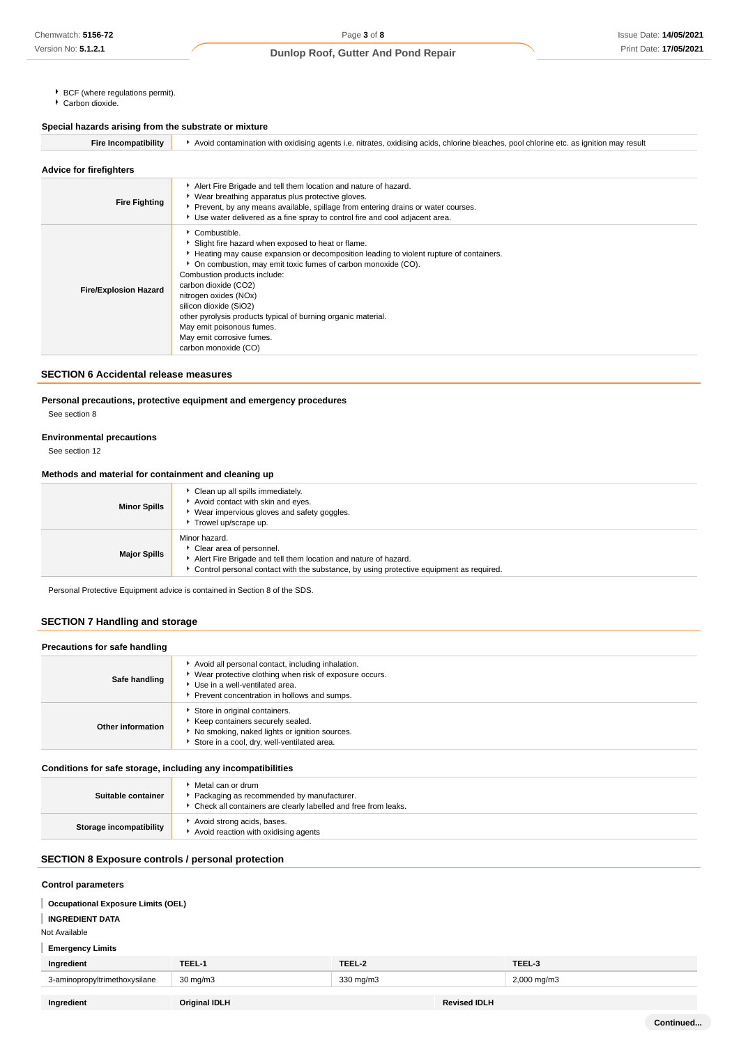- ▶ BCF (where regulations permit).
- $\overline{\phantom{a}}$  Carbon dioxide.

## **Special hazards arising from the substrate or mixture**

| <b>Fire Incompatibility</b>    | Avoid contamination with oxidising agents i.e. nitrates, oxidising acids, chlorine bleaches, pool chlorine etc. as ignition may result                                                                                                                                                                                                                                                                                                                                                      |
|--------------------------------|---------------------------------------------------------------------------------------------------------------------------------------------------------------------------------------------------------------------------------------------------------------------------------------------------------------------------------------------------------------------------------------------------------------------------------------------------------------------------------------------|
| <b>Advice for firefighters</b> |                                                                                                                                                                                                                                                                                                                                                                                                                                                                                             |
| <b>Fire Fighting</b>           | Alert Fire Brigade and tell them location and nature of hazard.<br>▶ Wear breathing apparatus plus protective gloves.<br>▶ Prevent, by any means available, spillage from entering drains or water courses.<br>► Use water delivered as a fine spray to control fire and cool adjacent area.                                                                                                                                                                                                |
| <b>Fire/Explosion Hazard</b>   | Combustible.<br>Slight fire hazard when exposed to heat or flame.<br>Heating may cause expansion or decomposition leading to violent rupture of containers.<br>• On combustion, may emit toxic fumes of carbon monoxide (CO).<br>Combustion products include:<br>carbon dioxide (CO2)<br>nitrogen oxides (NOx)<br>silicon dioxide (SiO2)<br>other pyrolysis products typical of burning organic material.<br>May emit poisonous fumes.<br>May emit corrosive fumes.<br>carbon monoxide (CO) |

## **SECTION 6 Accidental release measures**

## **Personal precautions, protective equipment and emergency procedures**

See section 8

### **Environmental precautions**

See section 12

## **Methods and material for containment and cleaning up**

| <b>Minor Spills</b> | Clean up all spills immediately.<br>Avoid contact with skin and eyes.<br>Wear impervious gloves and safety goggles.<br>Trowel up/scrape up.                                                               |
|---------------------|-----------------------------------------------------------------------------------------------------------------------------------------------------------------------------------------------------------|
| <b>Major Spills</b> | Minor hazard.<br>Clear area of personnel.<br>Alert Fire Brigade and tell them location and nature of hazard.<br>▶ Control personal contact with the substance, by using protective equipment as required. |

Personal Protective Equipment advice is contained in Section 8 of the SDS.

## **SECTION 7 Handling and storage**

## **Precautions for safe handling**

| Safe handling     | Avoid all personal contact, including inhalation.<br>▶ Wear protective clothing when risk of exposure occurs.<br>Use in a well-ventilated area.<br>Prevent concentration in hollows and sumps. |
|-------------------|------------------------------------------------------------------------------------------------------------------------------------------------------------------------------------------------|
| Other information | Store in original containers.<br>Keep containers securely sealed.<br>No smoking, naked lights or ignition sources.<br>Store in a cool, dry, well-ventilated area.                              |
|                   |                                                                                                                                                                                                |

### **Conditions for safe storage, including any incompatibilities**

| Suitable container             | Metal can or drum<br>Packaging as recommended by manufacturer.<br>Check all containers are clearly labelled and free from leaks. |
|--------------------------------|----------------------------------------------------------------------------------------------------------------------------------|
| <b>Storage incompatibility</b> | Avoid strong acids, bases.<br>Avoid reaction with oxidising agents                                                               |

## **SECTION 8 Exposure controls / personal protection**

| <b>Control parameters</b>                 |                      |           |                     |             |
|-------------------------------------------|----------------------|-----------|---------------------|-------------|
| <b>Occupational Exposure Limits (OEL)</b> |                      |           |                     |             |
| <b>INGREDIENT DATA</b>                    |                      |           |                     |             |
| Not Available                             |                      |           |                     |             |
| <b>Emergency Limits</b>                   |                      |           |                     |             |
| Ingredient                                | TEEL-1               | TEEL-2    |                     | TEEL-3      |
| 3-aminopropyltrimethoxysilane             | $30 \text{ mg/m}$    | 330 mg/m3 |                     | 2,000 mg/m3 |
| Ingredient                                | <b>Original IDLH</b> |           | <b>Revised IDLH</b> |             |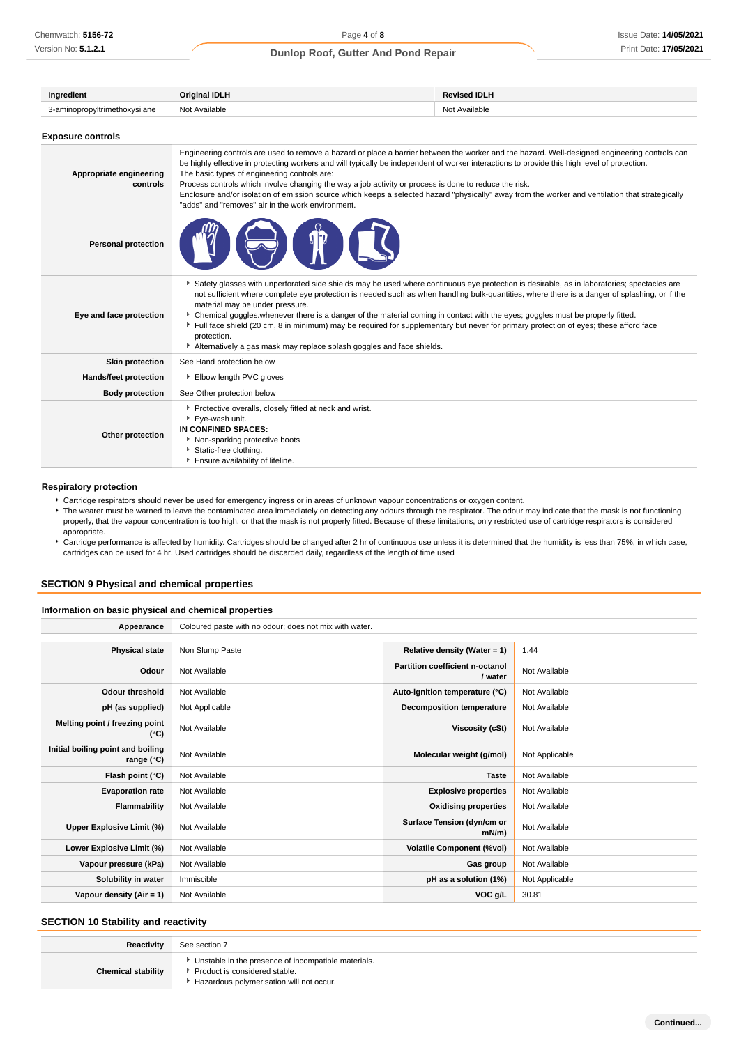| Ingredient                          | <b>Original IDLH</b>                                                                                                                                                                                                                                                                                                                                                                                                                                                                                                                                                                                                                                                                                | <b>Revised IDLH</b> |  |  |
|-------------------------------------|-----------------------------------------------------------------------------------------------------------------------------------------------------------------------------------------------------------------------------------------------------------------------------------------------------------------------------------------------------------------------------------------------------------------------------------------------------------------------------------------------------------------------------------------------------------------------------------------------------------------------------------------------------------------------------------------------------|---------------------|--|--|
| 3-aminopropyltrimethoxysilane       | Not Available                                                                                                                                                                                                                                                                                                                                                                                                                                                                                                                                                                                                                                                                                       | Not Available       |  |  |
| <b>Exposure controls</b>            |                                                                                                                                                                                                                                                                                                                                                                                                                                                                                                                                                                                                                                                                                                     |                     |  |  |
| Appropriate engineering<br>controls | Engineering controls are used to remove a hazard or place a barrier between the worker and the hazard. Well-designed engineering controls can<br>be highly effective in protecting workers and will typically be independent of worker interactions to provide this high level of protection.<br>The basic types of engineering controls are:<br>Process controls which involve changing the way a job activity or process is done to reduce the risk.<br>Enclosure and/or isolation of emission source which keeps a selected hazard "physically" away from the worker and ventilation that strategically<br>"adds" and "removes" air in the work environment.                                     |                     |  |  |
| <b>Personal protection</b>          |                                                                                                                                                                                                                                                                                                                                                                                                                                                                                                                                                                                                                                                                                                     |                     |  |  |
| Eye and face protection             | > Safety glasses with unperforated side shields may be used where continuous eye protection is desirable, as in laboratories; spectacles are<br>not sufficient where complete eye protection is needed such as when handling bulk-quantities, where there is a danger of splashing, or if the<br>material may be under pressure.<br>• Chemical goggles whenever there is a danger of the material coming in contact with the eyes; goggles must be properly fitted.<br>Full face shield (20 cm, 8 in minimum) may be required for supplementary but never for primary protection of eyes; these afford face<br>protection.<br>Alternatively a gas mask may replace splash goggles and face shields. |                     |  |  |
| <b>Skin protection</b>              | See Hand protection below                                                                                                                                                                                                                                                                                                                                                                                                                                                                                                                                                                                                                                                                           |                     |  |  |
| Hands/feet protection               | Elbow length PVC gloves                                                                                                                                                                                                                                                                                                                                                                                                                                                                                                                                                                                                                                                                             |                     |  |  |
| <b>Body protection</b>              | See Other protection below                                                                                                                                                                                                                                                                                                                                                                                                                                                                                                                                                                                                                                                                          |                     |  |  |
| Other protection                    | Protective overalls, closely fitted at neck and wrist.<br>Eye-wash unit.<br>IN CONFINED SPACES:<br>Non-sparking protective boots<br>Static-free clothing.<br>Ensure availability of lifeline.                                                                                                                                                                                                                                                                                                                                                                                                                                                                                                       |                     |  |  |

### **Respiratory protection**

Cartridge respirators should never be used for emergency ingress or in areas of unknown vapour concentrations or oxygen content.

The wearer must be warned to leave the contaminated area immediately on detecting any odours through the respirator. The odour may indicate that the mask is not functioning properly, that the vapour concentration is too high, or that the mask is not properly fitted. Because of these limitations, only restricted use of cartridge respirators is considered appropriate.

Cartridge performance is affected by humidity. Cartridges should be changed after 2 hr of continuous use unless it is determined that the humidity is less than 75%, in which case, cartridges can be used for 4 hr. Used cartridges should be discarded daily, regardless of the length of time used

### **SECTION 9 Physical and chemical properties**

### **Information on basic physical and chemical properties**

| Appearance                                      | Coloured paste with no odour; does not mix with water. |                                            |                |
|-------------------------------------------------|--------------------------------------------------------|--------------------------------------------|----------------|
|                                                 |                                                        |                                            |                |
| <b>Physical state</b>                           | Non Slump Paste                                        | Relative density (Water = $1$ )            | 1.44           |
| Odour                                           | Not Available                                          | Partition coefficient n-octanol<br>/ water | Not Available  |
| <b>Odour threshold</b>                          | Not Available                                          | Auto-ignition temperature (°C)             | Not Available  |
| pH (as supplied)                                | Not Applicable                                         | Decomposition temperature                  | Not Available  |
| Melting point / freezing point<br>(°C)          | Not Available                                          | <b>Viscosity (cSt)</b>                     | Not Available  |
| Initial boiling point and boiling<br>range (°C) | Not Available                                          | Molecular weight (g/mol)                   | Not Applicable |
| Flash point (°C)                                | Not Available                                          | <b>Taste</b>                               | Not Available  |
| <b>Evaporation rate</b>                         | Not Available                                          | <b>Explosive properties</b>                | Not Available  |
| Flammability                                    | Not Available                                          | <b>Oxidising properties</b>                | Not Available  |
| Upper Explosive Limit (%)                       | Not Available                                          | Surface Tension (dyn/cm or<br>mN/m         | Not Available  |
| Lower Explosive Limit (%)                       | Not Available                                          | <b>Volatile Component (%vol)</b>           | Not Available  |
| Vapour pressure (kPa)                           | Not Available                                          | Gas group                                  | Not Available  |
| Solubility in water                             | Immiscible                                             | pH as a solution (1%)                      | Not Applicable |
| Vapour density ( $Air = 1$ )                    | Not Available                                          | VOC g/L                                    | 30.81          |

## **SECTION 10 Stability and reactivity**

| Reactivity                | See section 7                                                                                                                      |
|---------------------------|------------------------------------------------------------------------------------------------------------------------------------|
| <b>Chemical stability</b> | Unstable in the presence of incompatible materials.<br>▶ Product is considered stable.<br>Hazardous polymerisation will not occur. |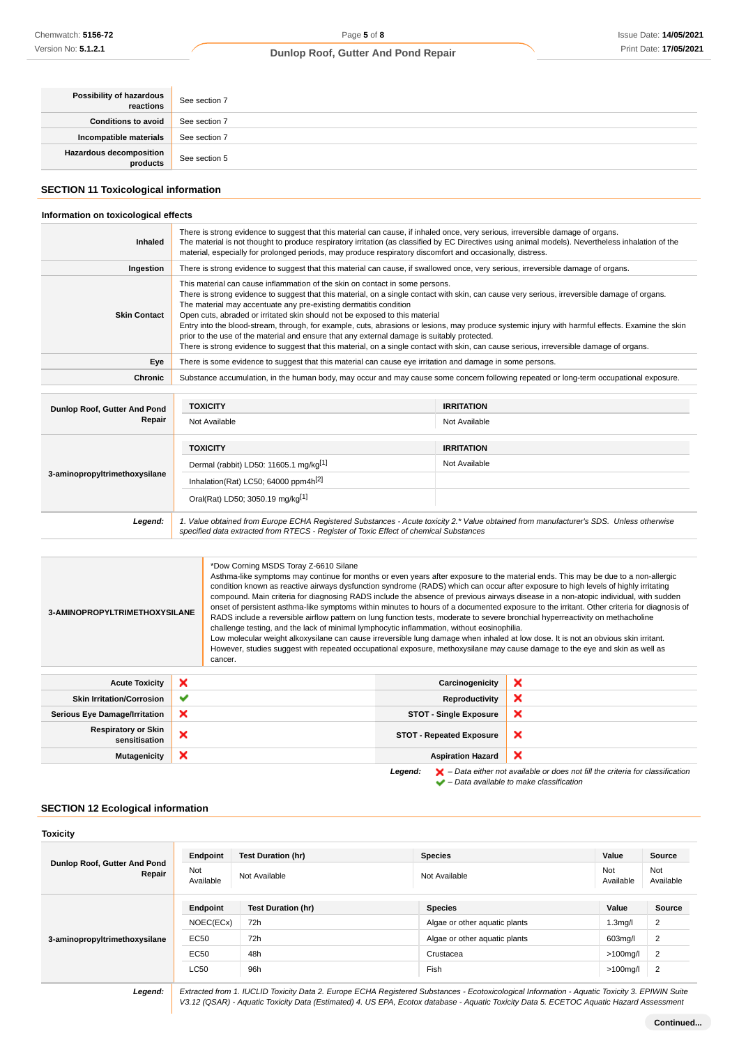| Possibility of hazardous<br>reactions | See section 7 |
|---------------------------------------|---------------|
| <b>Conditions to avoid</b>            | See section 7 |
| Incompatible materials                | See section 7 |
| Hazardous decomposition<br>products   | See section 5 |

## **SECTION 11 Toxicological information**

#### **Information on toxicological effects**

| <b>Inhaled</b>                | There is strong evidence to suggest that this material can cause, if inhaled once, very serious, irreversible damage of organs.<br>The material is not thought to produce respiratory irritation (as classified by EC Directives using animal models). Nevertheless inhalation of the<br>material, especially for prolonged periods, may produce respiratory discomfort and occasionally, distress.                                                                                                                                                                                                                                                                                                                                                                               |                   |  |
|-------------------------------|-----------------------------------------------------------------------------------------------------------------------------------------------------------------------------------------------------------------------------------------------------------------------------------------------------------------------------------------------------------------------------------------------------------------------------------------------------------------------------------------------------------------------------------------------------------------------------------------------------------------------------------------------------------------------------------------------------------------------------------------------------------------------------------|-------------------|--|
| Ingestion                     | There is strong evidence to suggest that this material can cause, if swallowed once, very serious, irreversible damage of organs.                                                                                                                                                                                                                                                                                                                                                                                                                                                                                                                                                                                                                                                 |                   |  |
| <b>Skin Contact</b>           | This material can cause inflammation of the skin on contact in some persons.<br>There is strong evidence to suggest that this material, on a single contact with skin, can cause very serious, irreversible damage of organs.<br>The material may accentuate any pre-existing dermatitis condition<br>Open cuts, abraded or irritated skin should not be exposed to this material<br>Entry into the blood-stream, through, for example, cuts, abrasions or lesions, may produce systemic injury with harmful effects. Examine the skin<br>prior to the use of the material and ensure that any external damage is suitably protected.<br>There is strong evidence to suggest that this material, on a single contact with skin, can cause serious, irreversible damage of organs. |                   |  |
| Eye                           | There is some evidence to suggest that this material can cause eye irritation and damage in some persons.                                                                                                                                                                                                                                                                                                                                                                                                                                                                                                                                                                                                                                                                         |                   |  |
| Chronic                       | Substance accumulation, in the human body, may occur and may cause some concern following repeated or long-term occupational exposure.                                                                                                                                                                                                                                                                                                                                                                                                                                                                                                                                                                                                                                            |                   |  |
|                               |                                                                                                                                                                                                                                                                                                                                                                                                                                                                                                                                                                                                                                                                                                                                                                                   |                   |  |
| Dunlop Roof, Gutter And Pond  | <b>TOXICITY</b>                                                                                                                                                                                                                                                                                                                                                                                                                                                                                                                                                                                                                                                                                                                                                                   | <b>IRRITATION</b> |  |
| Repair                        | Not Available                                                                                                                                                                                                                                                                                                                                                                                                                                                                                                                                                                                                                                                                                                                                                                     | Not Available     |  |
|                               | <b>TOXICITY</b>                                                                                                                                                                                                                                                                                                                                                                                                                                                                                                                                                                                                                                                                                                                                                                   | <b>IRRITATION</b> |  |
| 3-aminopropyltrimethoxysilane | Dermal (rabbit) LD50: 11605.1 mg/kg <sup>[1]</sup>                                                                                                                                                                                                                                                                                                                                                                                                                                                                                                                                                                                                                                                                                                                                | Not Available     |  |
|                               | Inhalation(Rat) LC50; 64000 ppm4h <sup>[2]</sup>                                                                                                                                                                                                                                                                                                                                                                                                                                                                                                                                                                                                                                                                                                                                  |                   |  |
|                               | Oral(Rat) LD50; 3050.19 mg/kg[1]                                                                                                                                                                                                                                                                                                                                                                                                                                                                                                                                                                                                                                                                                                                                                  |                   |  |
| Legend:                       | 1. Value obtained from Europe ECHA Registered Substances - Acute toxicity 2.* Value obtained from manufacturer's SDS. Unless otherwise<br>specified data extracted from RTECS - Register of Toxic Effect of chemical Substances                                                                                                                                                                                                                                                                                                                                                                                                                                                                                                                                                   |                   |  |

| *Dow Corning MSDS Toray Z-6610 Silane<br>Asthma-like symptoms may continue for months or even years after exposure to the material ends. This may be due to a non-allergic<br>condition known as reactive airways dysfunction syndrome (RADS) which can occur after exposure to high levels of highly irritating<br>compound. Main criteria for diagnosing RADS include the absence of previous airways disease in a non-atopic individual, with sudden<br>onset of persistent asthma-like symptoms within minutes to hours of a documented exposure to the irritant. Other criteria for diagnosis of<br>3-AMINOPROPYLTRIMETHOXYSILANE<br>RADS include a reversible airflow pattern on lung function tests, moderate to severe bronchial hyperreactivity on methacholine<br>challenge testing, and the lack of minimal lymphocytic inflammation, without eosinophilia.<br>Low molecular weight alkoxysilane can cause irreversible lung damage when inhaled at low dose. It is not an obvious skin irritant.<br>However, studies suggest with repeated occupational exposure, methoxysilane may cause damage to the eye and skin as well as<br>cancer. |   |                                 |   |
|--------------------------------------------------------------------------------------------------------------------------------------------------------------------------------------------------------------------------------------------------------------------------------------------------------------------------------------------------------------------------------------------------------------------------------------------------------------------------------------------------------------------------------------------------------------------------------------------------------------------------------------------------------------------------------------------------------------------------------------------------------------------------------------------------------------------------------------------------------------------------------------------------------------------------------------------------------------------------------------------------------------------------------------------------------------------------------------------------------------------------------------------------------|---|---------------------------------|---|
|                                                                                                                                                                                                                                                                                                                                                                                                                                                                                                                                                                                                                                                                                                                                                                                                                                                                                                                                                                                                                                                                                                                                                        |   |                                 |   |
| <b>Acute Toxicity</b>                                                                                                                                                                                                                                                                                                                                                                                                                                                                                                                                                                                                                                                                                                                                                                                                                                                                                                                                                                                                                                                                                                                                  | × | Carcinogenicity                 | × |
| <b>Skin Irritation/Corrosion</b>                                                                                                                                                                                                                                                                                                                                                                                                                                                                                                                                                                                                                                                                                                                                                                                                                                                                                                                                                                                                                                                                                                                       | ✔ | <b>Reproductivity</b>           | × |
| <b>Serious Eye Damage/Irritation</b>                                                                                                                                                                                                                                                                                                                                                                                                                                                                                                                                                                                                                                                                                                                                                                                                                                                                                                                                                                                                                                                                                                                   | × | <b>STOT - Single Exposure</b>   | × |
| <b>Respiratory or Skin</b><br>sensitisation                                                                                                                                                                                                                                                                                                                                                                                                                                                                                                                                                                                                                                                                                                                                                                                                                                                                                                                                                                                                                                                                                                            | × | <b>STOT - Repeated Exposure</b> | × |
| <b>Mutagenicity</b>                                                                                                                                                                                                                                                                                                                                                                                                                                                                                                                                                                                                                                                                                                                                                                                                                                                                                                                                                                                                                                                                                                                                    | × | <b>Aspiration Hazard</b>        | × |

Legend:  $\blacktriangleright$  - Data either not available or does not fill the criteria for classification  $\blacktriangleright$  – Data available to make classification

## **SECTION 12 Ecological information**

| <b>Toxicity</b>                        |                  |                           |                               |                      |                  |
|----------------------------------------|------------------|---------------------------|-------------------------------|----------------------|------------------|
| Dunlop Roof, Gutter And Pond<br>Repair | Endpoint         | <b>Test Duration (hr)</b> | <b>Species</b>                | Value                | Source           |
|                                        | Not<br>Available | Not Available             | Not Available                 | Not<br>Available     | Not<br>Available |
| 3-aminopropyltrimethoxysilane          | Endpoint         | <b>Test Duration (hr)</b> | <b>Species</b>                | Value                | Source           |
|                                        | NOEC(ECx)        | 72h                       | Algae or other aquatic plants | 1.3 <sub>m</sub> g/l | 2                |
|                                        | <b>EC50</b>      | 72h                       | Algae or other aquatic plants | 603mg/l              | $\overline{2}$   |
|                                        | <b>EC50</b>      | 48h                       | Crustacea                     | $>100$ mg/l          | $\overline{2}$   |
|                                        | <b>LC50</b>      | 96h                       | Fish                          | $>100$ mg/l          | $\overline{2}$   |
|                                        | _ _ _ _          | ___                       | .                             |                      |                  |

**Legend:** Extracted from 1. IUCLID Toxicity Data 2. Europe ECHA Registered Substances - Ecotoxicological Information - Aquatic Toxicity 3. EPIWIN Suite V3.12 (QSAR) - Aquatic Toxicity Data (Estimated) 4. US EPA, Ecotox database - Aquatic Toxicity Data 5. ECETOC Aquatic Hazard Assessment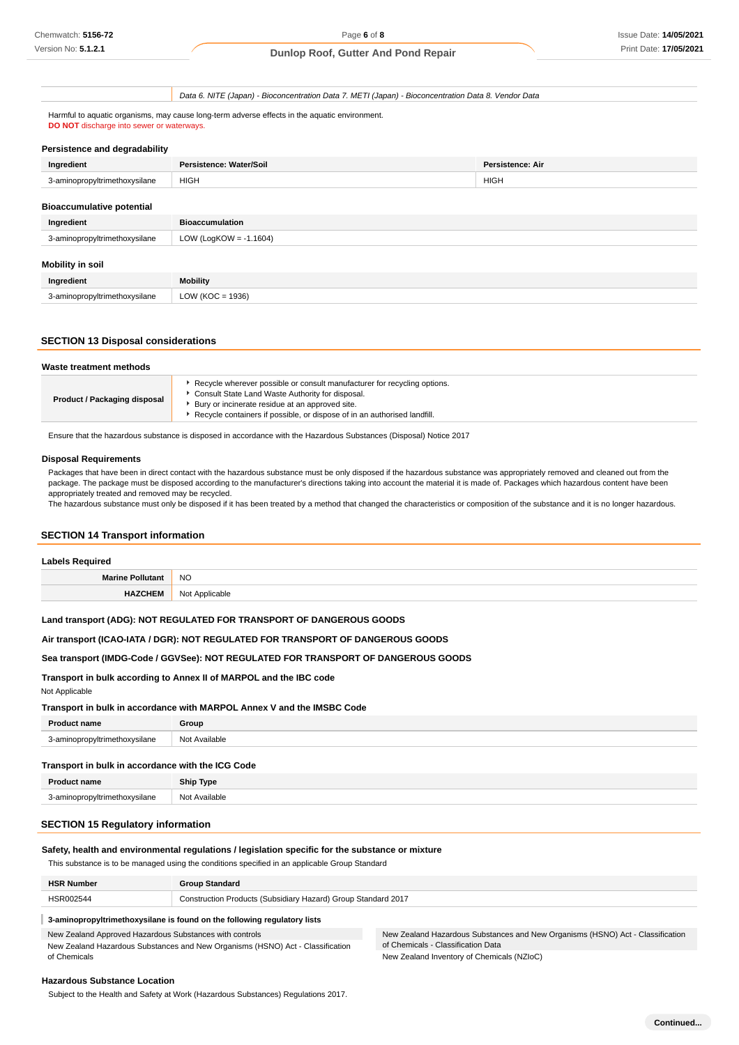Data 6. NITE (Japan) - Bioconcentration Data 7. METI (Japan) - Bioconcentration Data 8. Vendor Data

Harmful to aquatic organisms, may cause long-term adverse effects in the aquatic environment. **DO NOT** discharge into sewer or waterways.

### **Persistence and degradability**

| Ingredient                       | Persistence: Water/Soil   | <b>Persistence: Air</b> |
|----------------------------------|---------------------------|-------------------------|
| 3-aminopropyltrimethoxysilane    | <b>HIGH</b>               | <b>HIGH</b>             |
| <b>Bioaccumulative potential</b> |                           |                         |
| Ingredient                       | <b>Bioaccumulation</b>    |                         |
| 3-aminopropyltrimethoxysilane    | LOW (LogKOW = $-1.1604$ ) |                         |
| Mobility in soil                 |                           |                         |
| Ingredient                       | <b>Mobility</b>           |                         |
| 3-aminopropyltrimethoxysilane    | LOW ( $KOC = 1936$ )      |                         |
|                                  |                           |                         |

### **SECTION 13 Disposal considerations**

| Waste treatment methods      |                                                                                                                                                                                                                                                             |
|------------------------------|-------------------------------------------------------------------------------------------------------------------------------------------------------------------------------------------------------------------------------------------------------------|
| Product / Packaging disposal | Recycle wherever possible or consult manufacturer for recycling options.<br>Consult State Land Waste Authority for disposal.<br>Bury or incinerate residue at an approved site.<br>Recycle containers if possible, or dispose of in an authorised landfill. |

Ensure that the hazardous substance is disposed in accordance with the Hazardous Substances (Disposal) Notice 2017

#### **Disposal Requirements**

Packages that have been in direct contact with the hazardous substance must be only disposed if the hazardous substance was appropriately removed and cleaned out from the package. The package must be disposed according to the manufacturer's directions taking into account the material it is made of. Packages which hazardous content have been appropriately treated and removed may be recycled.

The hazardous substance must only be disposed if it has been treated by a method that changed the characteristics or composition of the substance and it is no longer hazardous.

#### **SECTION 14 Transport information**

### **Labels Required**

| <b>Marine</b><br>≅ Pollutan⊾ | <b>NO</b>                       |
|------------------------------|---------------------------------|
|                              | Applicable<br>، Not<br>.<br>. . |

### **Land transport (ADG): NOT REGULATED FOR TRANSPORT OF DANGEROUS GOODS**

### **Air transport (ICAO-IATA / DGR): NOT REGULATED FOR TRANSPORT OF DANGEROUS GOODS**

### **Sea transport (IMDG-Code / GGVSee): NOT REGULATED FOR TRANSPORT OF DANGEROUS GOODS**

#### **Transport in bulk according to Annex II of MARPOL and the IBC code**

Not Applicable

### **Transport in bulk in accordance with MARPOL Annex V and the IMSBC Code**

| <b>Product name</b>           | Group               |
|-------------------------------|---------------------|
| 3-aminopropyltrimethoxysilane | Not.<br>: Available |

### **Transport in bulk in accordance with the ICG Code**

| <b>Product name</b>           | <b>Ship Type</b> |
|-------------------------------|------------------|
| 3-aminopropyltrimethoxysilane | Not Available    |

## **SECTION 15 Regulatory information**

### **Safety, health and environmental regulations / legislation specific for the substance or mixture**

This substance is to be managed using the conditions specified in an applicable Group Standard

| <b>HSR Number</b> | <b>Group Standard</b>                                         |
|-------------------|---------------------------------------------------------------|
| HSR002544         | Construction Products (Subsidiary Hazard) Group Standard 2017 |
|                   |                                                               |

## **3-aminopropyltrimethoxysilane is found on the following regulatory lists**

New Zealand Approved Hazardous Substances with controls

New Zealand Hazardous Substances and New Organisms (HSNO) Act - Classification of Chemicals

New Zealand Hazardous Substances and New Organisms (HSNO) Act - Classification of Chemicals - Classification Data New Zealand Inventory of Chemicals (NZIoC)

#### **Hazardous Substance Location**

Subject to the Health and Safety at Work (Hazardous Substances) Regulations 2017.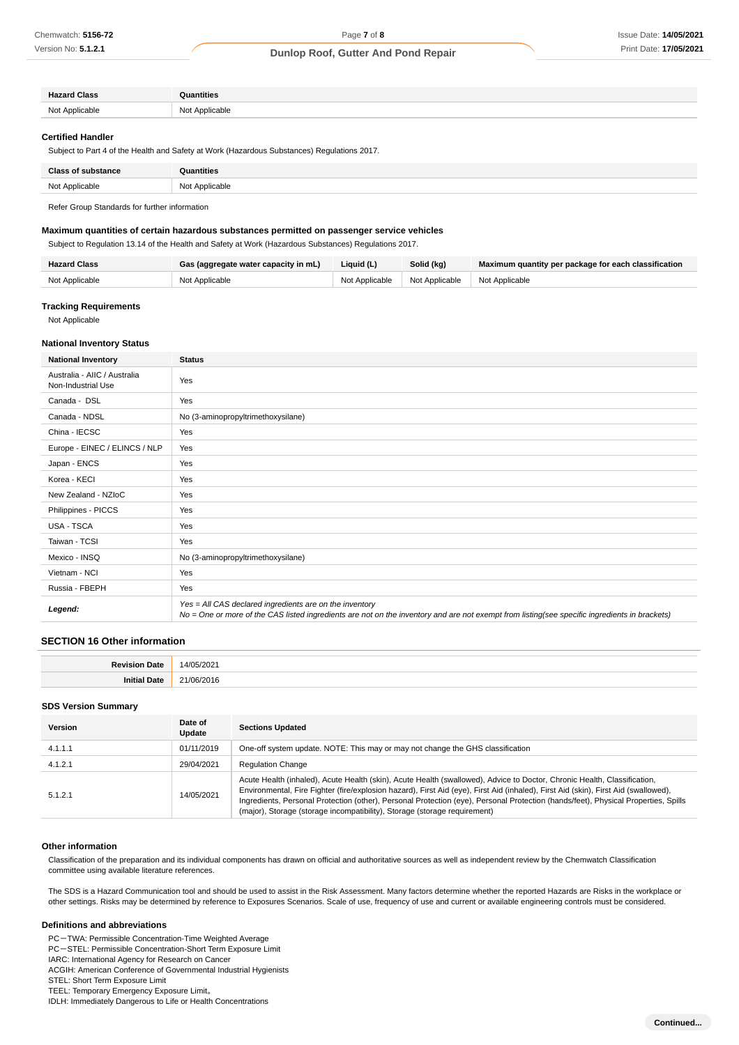| <b>Hazard Class</b>                        | Quantities          |
|--------------------------------------------|---------------------|
| N <sub>0</sub><br>t Applicable<br>$1$ Yu f | Not Applicable<br>. |

#### **Certified Handler**

Subject to Part 4 of the Health and Safety at Work (Hazardous Substances) Regulations 2017.

| <b>Class of substance</b> | Quantities              |
|---------------------------|-------------------------|
| Not Applicable            | Not Applicable<br>----- |

Refer Group Standards for further information

### **Maximum quantities of certain hazardous substances permitted on passenger service vehicles**

Subject to Regulation 13.14 of the Health and Safety at Work (Hazardous Substances) Regulations 2017.

| <b>Hazard Class</b> | Gas (aggregate water capacity in mL) | Liquid (L) | Solid (kg)                                       | Maximum quantity per package for each classification |
|---------------------|--------------------------------------|------------|--------------------------------------------------|------------------------------------------------------|
| Not Applicable      | Not Applicable                       |            | Not Applicable   Not Applicable   Not Applicable |                                                      |

### **Tracking Requirements**

Not Applicable

### **National Inventory Status**

| <b>National Inventory</b>                          | <b>Status</b>                                                                                                                                                                                            |  |
|----------------------------------------------------|----------------------------------------------------------------------------------------------------------------------------------------------------------------------------------------------------------|--|
| Australia - AIIC / Australia<br>Non-Industrial Use | Yes                                                                                                                                                                                                      |  |
| Canada - DSL                                       | Yes                                                                                                                                                                                                      |  |
| Canada - NDSL                                      | No (3-aminopropyltrimethoxysilane)                                                                                                                                                                       |  |
| China - IECSC                                      | Yes                                                                                                                                                                                                      |  |
| Europe - EINEC / ELINCS / NLP                      | Yes                                                                                                                                                                                                      |  |
| Japan - ENCS                                       | Yes                                                                                                                                                                                                      |  |
| Korea - KECI                                       | Yes                                                                                                                                                                                                      |  |
| New Zealand - NZIoC                                | Yes                                                                                                                                                                                                      |  |
| Philippines - PICCS                                | Yes                                                                                                                                                                                                      |  |
| USA - TSCA                                         | Yes                                                                                                                                                                                                      |  |
| Taiwan - TCSI                                      | Yes                                                                                                                                                                                                      |  |
| Mexico - INSQ                                      | No (3-aminopropyltrimethoxysilane)                                                                                                                                                                       |  |
| Vietnam - NCI                                      | Yes                                                                                                                                                                                                      |  |
| Russia - FBEPH                                     | Yes                                                                                                                                                                                                      |  |
| Legend:                                            | Yes = All CAS declared ingredients are on the inventory<br>No = One or more of the CAS listed ingredients are not on the inventory and are not exempt from listing(see specific ingredients in brackets) |  |

### **SECTION 16 Other information**

#### **SDS Version Summary**

| <b>Version</b> | Date of<br>Update | <b>Sections Updated</b>                                                                                                                                                                                                                                                                                                                                                                                                                                                            |
|----------------|-------------------|------------------------------------------------------------------------------------------------------------------------------------------------------------------------------------------------------------------------------------------------------------------------------------------------------------------------------------------------------------------------------------------------------------------------------------------------------------------------------------|
| 4.1.1.1        | 01/11/2019        | One-off system update. NOTE: This may or may not change the GHS classification                                                                                                                                                                                                                                                                                                                                                                                                     |
| 4.1.2.1        | 29/04/2021        | <b>Regulation Change</b>                                                                                                                                                                                                                                                                                                                                                                                                                                                           |
| 5.1.2.1        | 14/05/2021        | Acute Health (inhaled), Acute Health (skin), Acute Health (swallowed), Advice to Doctor, Chronic Health, Classification,<br>Environmental, Fire Fighter (fire/explosion hazard), First Aid (eye), First Aid (inhaled), First Aid (skin), First Aid (swallowed),<br>Ingredients, Personal Protection (other), Personal Protection (eye), Personal Protection (hands/feet), Physical Properties, Spills<br>(major), Storage (storage incompatibility), Storage (storage requirement) |

#### **Other information**

Classification of the preparation and its individual components has drawn on official and authoritative sources as well as independent review by the Chemwatch Classification committee using available literature references.

The SDS is a Hazard Communication tool and should be used to assist in the Risk Assessment. Many factors determine whether the reported Hazards are Risks in the workplace or other settings. Risks may be determined by reference to Exposures Scenarios. Scale of use, frequency of use and current or available engineering controls must be considered.

#### **Definitions and abbreviations**

PC-TWA: Permissible Concentration-Time Weighted Average

PC-STEL: Permissible Concentration-Short Term Exposure Limit

IARC: International Agency for Research on Cancer

ACGIH: American Conference of Governmental Industrial Hygienists

STEL: Short Term Exposure Limit

TEEL: Temporary Emergency Exposure Limit。 IDLH: Immediately Dangerous to Life or Health Concentrations